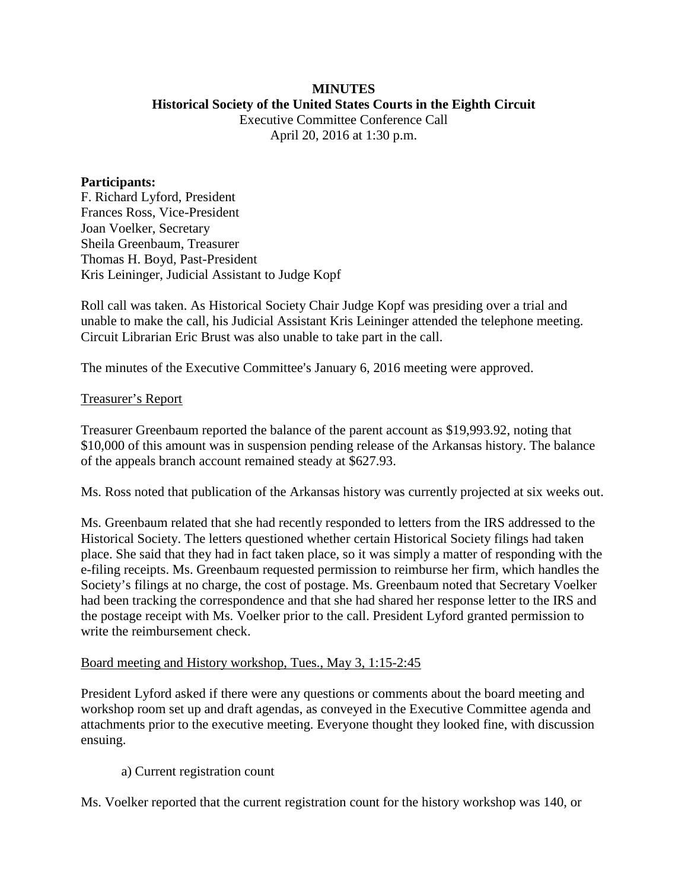## **MINUTES Historical Society of the United States Courts in the Eighth Circuit**

Executive Committee Conference Call April 20, 2016 at 1:30 p.m.

## **Participants:**

F. Richard Lyford, President Frances Ross, Vice-President Joan Voelker, Secretary Sheila Greenbaum, Treasurer Thomas H. Boyd, Past-President Kris Leininger, Judicial Assistant to Judge Kopf

Roll call was taken. As Historical Society Chair Judge Kopf was presiding over a trial and unable to make the call, his Judicial Assistant Kris Leininger attended the telephone meeting. Circuit Librarian Eric Brust was also unable to take part in the call.

The minutes of the Executive Committee's January 6, 2016 meeting were approved.

## Treasurer's Report

Treasurer Greenbaum reported the balance of the parent account as \$19,993.92, noting that \$10,000 of this amount was in suspension pending release of the Arkansas history. The balance of the appeals branch account remained steady at \$627.93.

Ms. Ross noted that publication of the Arkansas history was currently projected at six weeks out.

Ms. Greenbaum related that she had recently responded to letters from the IRS addressed to the Historical Society. The letters questioned whether certain Historical Society filings had taken place. She said that they had in fact taken place, so it was simply a matter of responding with the e-filing receipts. Ms. Greenbaum requested permission to reimburse her firm, which handles the Society's filings at no charge, the cost of postage. Ms. Greenbaum noted that Secretary Voelker had been tracking the correspondence and that she had shared her response letter to the IRS and the postage receipt with Ms. Voelker prior to the call. President Lyford granted permission to write the reimbursement check.

## Board meeting and History workshop, Tues., May 3, 1:15-2:45

President Lyford asked if there were any questions or comments about the board meeting and workshop room set up and draft agendas, as conveyed in the Executive Committee agenda and attachments prior to the executive meeting. Everyone thought they looked fine, with discussion ensuing.

a) Current registration count

Ms. Voelker reported that the current registration count for the history workshop was 140, or